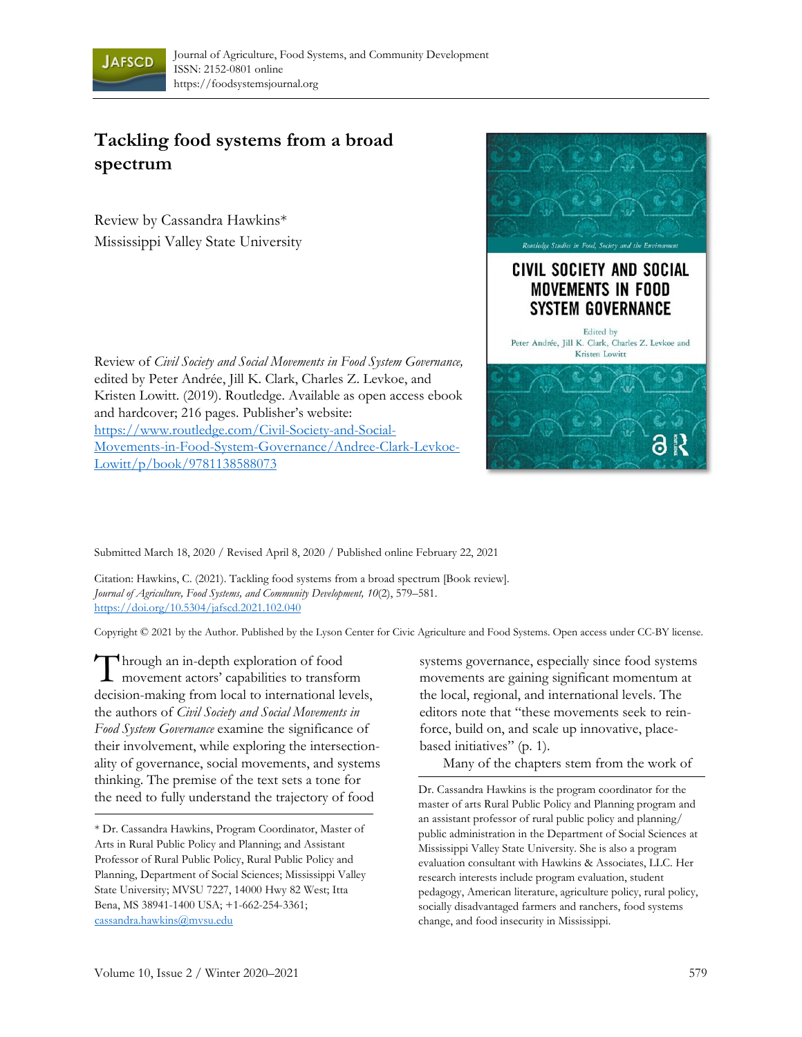

## **Tackling food systems from a broad spectrum**

Review by Cassandra Hawkins\* Mississippi Valley State University

Review of *Civil Society and Social Movements in Food System Governance,*  edited by Peter Andrée, Jill K. Clark, Charles Z. Levkoe, and Kristen Lowitt. (2019). Routledge. Available as open access ebook and hardcover; 216 pages. Publisher's website: https://www.routledge.com/Civil-Society-and-Social-Movements-in-Food-System-Governance/Andree-Clark-Levkoe-Lowitt/p/book/9781138588073



Submitted March 18, 2020 / Revised April 8, 2020 / Published online February 22, 2021

Citation: Hawkins, C. (2021). Tackling food systems from a broad spectrum [Book review]. *Journal of Agriculture, Food Systems, and Community Development, 10*(2), 579–581. https://doi.org/10.5304/jafscd.2021.102.040

Copyright © 2021 by the Author. Published by the Lyson Center for Civic Agriculture and Food Systems. Open access under CC-BY license.

hrough an in-depth exploration of food movement actors' capabilities to transform decision-making from local to international levels, the authors of *Civil Society and Social Movements in Food System Governance* examine the significance of their involvement, while exploring the intersectionality of governance, social movements, and systems thinking. The premise of the text sets a tone for the need to fully understand the trajectory of food T

systems governance, especially since food systems movements are gaining significant momentum at the local, regional, and international levels. The editors note that "these movements seek to reinforce, build on, and scale up innovative, placebased initiatives" (p. 1).

Many of the chapters stem from the work of

<sup>\*</sup> Dr. Cassandra Hawkins, Program Coordinator, Master of Arts in Rural Public Policy and Planning; and Assistant Professor of Rural Public Policy, Rural Public Policy and Planning, Department of Social Sciences; Mississippi Valley State University; MVSU 7227, 14000 Hwy 82 West; Itta Bena, MS 38941-1400 USA; +1-662-254-3361; cassandra.hawkins@mvsu.edu

Dr. Cassandra Hawkins is the program coordinator for the master of arts Rural Public Policy and Planning program and an assistant professor of rural public policy and planning/ public administration in the Department of Social Sciences at Mississippi Valley State University. She is also a program evaluation consultant with Hawkins & Associates, LLC. Her research interests include program evaluation, student pedagogy, American literature, agriculture policy, rural policy, socially disadvantaged farmers and ranchers, food systems change, and food insecurity in Mississippi.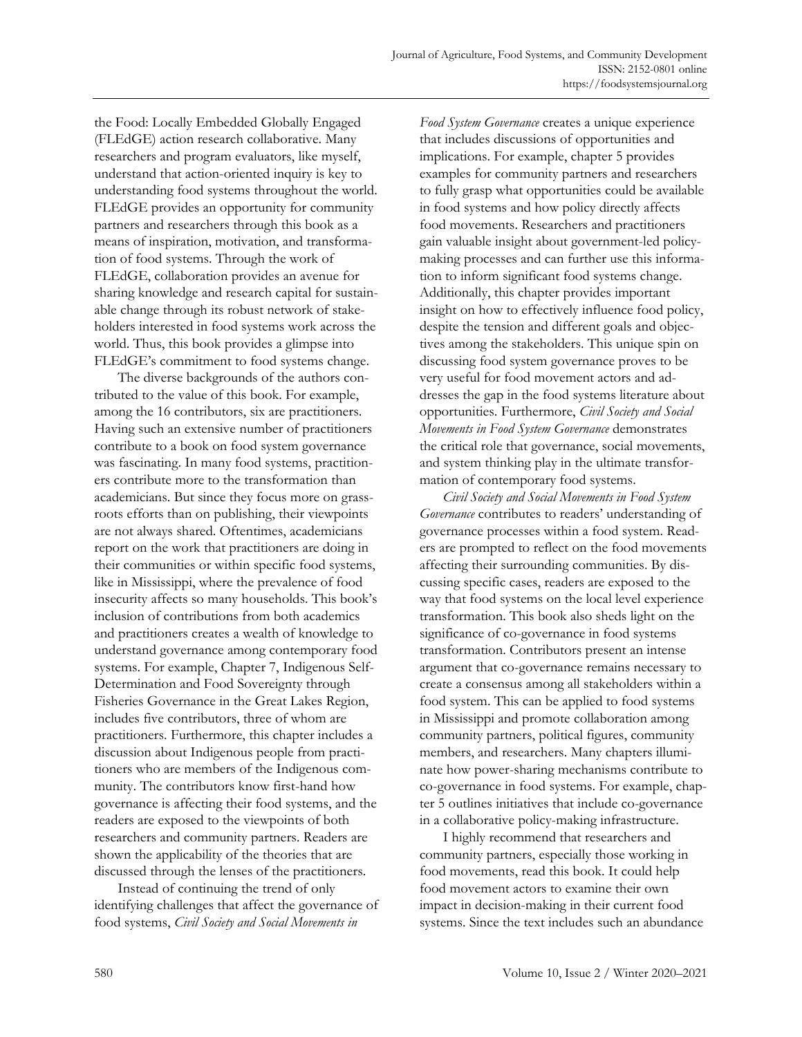the Food: Locally Embedded Globally Engaged (FLEdGE) action research collaborative. Many researchers and program evaluators, like myself, understand that action-oriented inquiry is key to understanding food systems throughout the world. FLEdGE provides an opportunity for community partners and researchers through this book as a means of inspiration, motivation, and transformation of food systems. Through the work of FLEdGE, collaboration provides an avenue for sharing knowledge and research capital for sustainable change through its robust network of stakeholders interested in food systems work across the world. Thus, this book provides a glimpse into FLEdGE's commitment to food systems change.

 The diverse backgrounds of the authors contributed to the value of this book. For example, among the 16 contributors, six are practitioners. Having such an extensive number of practitioners contribute to a book on food system governance was fascinating. In many food systems, practitioners contribute more to the transformation than academicians. But since they focus more on grassroots efforts than on publishing, their viewpoints are not always shared. Oftentimes, academicians report on the work that practitioners are doing in their communities or within specific food systems, like in Mississippi, where the prevalence of food insecurity affects so many households. This book's inclusion of contributions from both academics and practitioners creates a wealth of knowledge to understand governance among contemporary food systems. For example, Chapter 7, Indigenous Self-Determination and Food Sovereignty through Fisheries Governance in the Great Lakes Region, includes five contributors, three of whom are practitioners. Furthermore, this chapter includes a discussion about Indigenous people from practitioners who are members of the Indigenous community. The contributors know first-hand how governance is affecting their food systems, and the readers are exposed to the viewpoints of both researchers and community partners. Readers are shown the applicability of the theories that are discussed through the lenses of the practitioners.

 Instead of continuing the trend of only identifying challenges that affect the governance of food systems, *Civil Society and Social Movements in* 

*Food System Governance* creates a unique experience that includes discussions of opportunities and implications. For example, chapter 5 provides examples for community partners and researchers to fully grasp what opportunities could be available in food systems and how policy directly affects food movements. Researchers and practitioners gain valuable insight about government-led policymaking processes and can further use this information to inform significant food systems change. Additionally, this chapter provides important insight on how to effectively influence food policy, despite the tension and different goals and objectives among the stakeholders. This unique spin on discussing food system governance proves to be very useful for food movement actors and addresses the gap in the food systems literature about opportunities. Furthermore, *Civil Society and Social Movements in Food System Governance* demonstrates the critical role that governance, social movements, and system thinking play in the ultimate transformation of contemporary food systems.

*Civil Society and Social Movements in Food System Governance* contributes to readers' understanding of governance processes within a food system. Readers are prompted to reflect on the food movements affecting their surrounding communities. By discussing specific cases, readers are exposed to the way that food systems on the local level experience transformation. This book also sheds light on the significance of co-governance in food systems transformation. Contributors present an intense argument that co-governance remains necessary to create a consensus among all stakeholders within a food system. This can be applied to food systems in Mississippi and promote collaboration among community partners, political figures, community members, and researchers. Many chapters illuminate how power-sharing mechanisms contribute to co-governance in food systems. For example, chapter 5 outlines initiatives that include co-governance in a collaborative policy-making infrastructure.

 I highly recommend that researchers and community partners, especially those working in food movements, read this book. It could help food movement actors to examine their own impact in decision-making in their current food systems. Since the text includes such an abundance